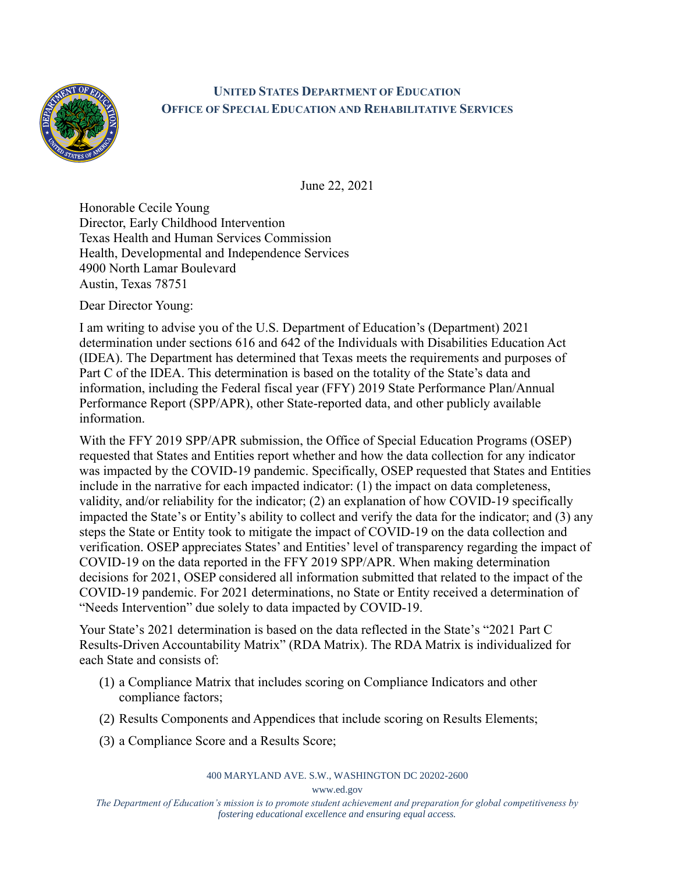

## **UNITED STATES DEPARTMENT OF EDUCATION OFFICE OF SPECIAL EDUCATION AND REHABILITATIVE SERVICES**

June 22, 2021

Honorable Cecile Young Director, Early Childhood Intervention Texas Health and Human Services Commission Health, Developmental and Independence Services 4900 North Lamar Boulevard Austin, Texas 78751

Dear Director Young:

I am writing to advise you of the U.S. Department of Education's (Department) 2021 determination under sections 616 and 642 of the Individuals with Disabilities Education Act (IDEA). The Department has determined that Texas meets the requirements and purposes of Part C of the IDEA. This determination is based on the totality of the State's data and information, including the Federal fiscal year (FFY) 2019 State Performance Plan/Annual Performance Report (SPP/APR), other State-reported data, and other publicly available information.

With the FFY 2019 SPP/APR submission, the Office of Special Education Programs (OSEP) requested that States and Entities report whether and how the data collection for any indicator was impacted by the COVID-19 pandemic. Specifically, OSEP requested that States and Entities include in the narrative for each impacted indicator: (1) the impact on data completeness, validity, and/or reliability for the indicator; (2) an explanation of how COVID-19 specifically impacted the State's or Entity's ability to collect and verify the data for the indicator; and (3) any steps the State or Entity took to mitigate the impact of COVID-19 on the data collection and verification. OSEP appreciates States' and Entities' level of transparency regarding the impact of COVID-19 on the data reported in the FFY 2019 SPP/APR. When making determination decisions for 2021, OSEP considered all information submitted that related to the impact of the COVID-19 pandemic. For 2021 determinations, no State or Entity received a determination of "Needs Intervention" due solely to data impacted by COVID-19.

Your State's 2021 determination is based on the data reflected in the State's "2021 Part C Results-Driven Accountability Matrix" (RDA Matrix). The RDA Matrix is individualized for each State and consists of:

- (1) a Compliance Matrix that includes scoring on Compliance Indicators and other compliance factors;
- (2) Results Components and Appendices that include scoring on Results Elements;
- (3) a Compliance Score and a Results Score;

400 MARYLAND AVE. S.W., WASHINGTON DC 20202-2600

www.ed.gov

*The Department of Education's mission is to promote student achievement and preparation for global competitiveness by fostering educational excellence and ensuring equal access.*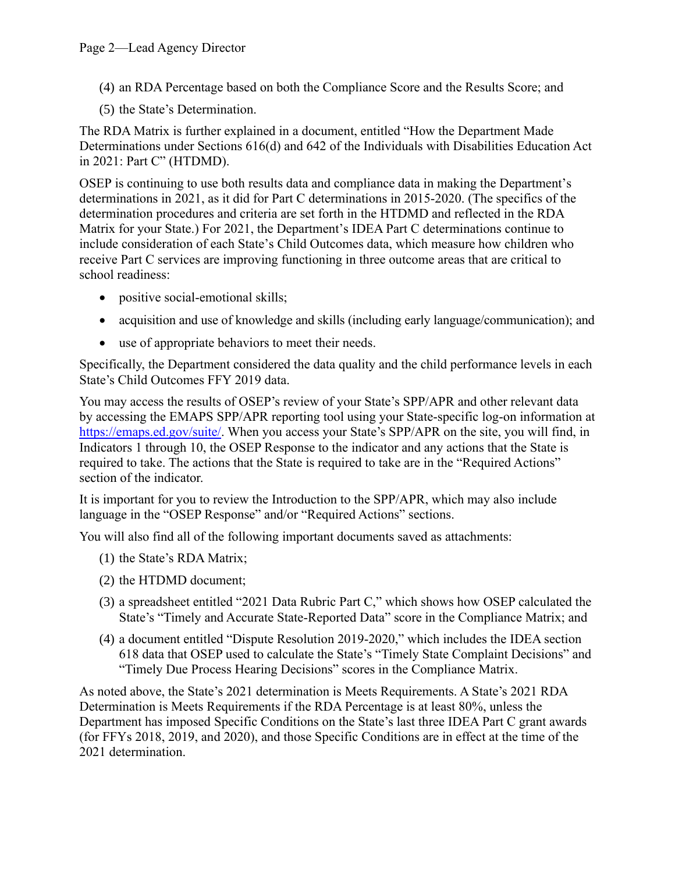- (4) an RDA Percentage based on both the Compliance Score and the Results Score; and
- (5) the State's Determination.

The RDA Matrix is further explained in a document, entitled "How the Department Made Determinations under Sections 616(d) and 642 of the Individuals with Disabilities Education Act in 2021: Part C" (HTDMD).

OSEP is continuing to use both results data and compliance data in making the Department's determinations in 2021, as it did for Part C determinations in 2015-2020. (The specifics of the determination procedures and criteria are set forth in the HTDMD and reflected in the RDA Matrix for your State.) For 2021, the Department's IDEA Part C determinations continue to include consideration of each State's Child Outcomes data, which measure how children who receive Part C services are improving functioning in three outcome areas that are critical to school readiness:

- positive social-emotional skills;
- acquisition and use of knowledge and skills (including early language/communication); and
- use of appropriate behaviors to meet their needs.

Specifically, the Department considered the data quality and the child performance levels in each State's Child Outcomes FFY 2019 data.

You may access the results of OSEP's review of your State's SPP/APR and other relevant data by accessing the EMAPS SPP/APR reporting tool using your State-specific log-on information at [https://emaps.ed.gov/suite/.](https://emaps.ed.gov/suite/) When you access your State's SPP/APR on the site, you will find, in Indicators 1 through 10, the OSEP Response to the indicator and any actions that the State is required to take. The actions that the State is required to take are in the "Required Actions" section of the indicator.

It is important for you to review the Introduction to the SPP/APR, which may also include language in the "OSEP Response" and/or "Required Actions" sections.

You will also find all of the following important documents saved as attachments:

- (1) the State's RDA Matrix;
- (2) the HTDMD document;
- (3) a spreadsheet entitled "2021 Data Rubric Part C," which shows how OSEP calculated the State's "Timely and Accurate State-Reported Data" score in the Compliance Matrix; and
- (4) a document entitled "Dispute Resolution 2019-2020," which includes the IDEA section 618 data that OSEP used to calculate the State's "Timely State Complaint Decisions" and "Timely Due Process Hearing Decisions" scores in the Compliance Matrix.

As noted above, the State's 2021 determination is Meets Requirements. A State's 2021 RDA Determination is Meets Requirements if the RDA Percentage is at least 80%, unless the Department has imposed Specific Conditions on the State's last three IDEA Part C grant awards (for FFYs 2018, 2019, and 2020), and those Specific Conditions are in effect at the time of the 2021 determination.